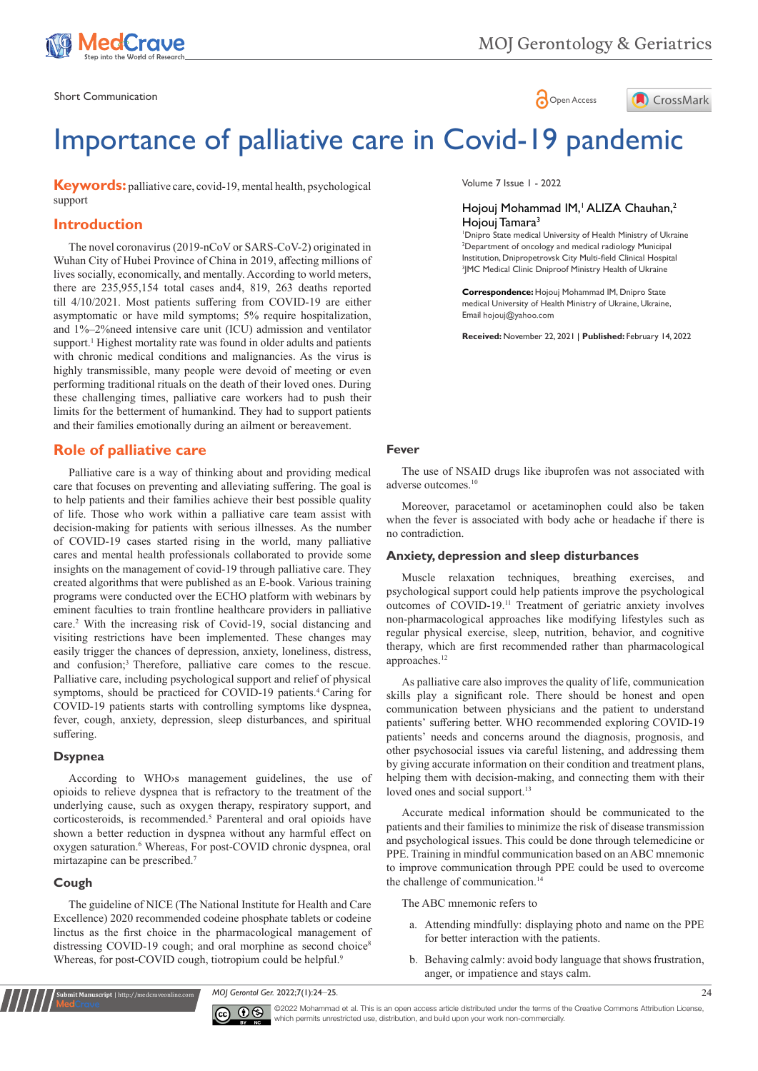



# Importance of palliative care in Covid-19 pandemic

**Keywords:** palliative care, covid-19, mental health, psychological support

## **Introduction**

The novel coronavirus (2019-nCoV or SARS-CoV-2) originated in Wuhan City of Hubei Province of China in 2019, affecting millions of lives socially, economically, and mentally. According to world meters, there are 235,955,154 total cases and4, 819, 263 deaths reported till 4/10/2021. Most patients suffering from COVID-19 are either asymptomatic or have mild symptoms; 5% require hospitalization, and 1%–2%need intensive care unit (ICU) admission and ventilator support.<sup>1</sup> Highest mortality rate was found in older adults and patients with chronic medical conditions and malignancies. As the virus is highly transmissible, many people were devoid of meeting or even performing traditional rituals on the death of their loved ones. During these challenging times, palliative care workers had to push their limits for the betterment of humankind. They had to support patients and their families emotionally during an ailment or bereavement.

## **Role of palliative care**

Palliative care is a way of thinking about and providing medical care that focuses on preventing and alleviating suffering. The goal is to help patients and their families achieve their best possible quality of life. Those who work within a palliative care team assist with decision-making for patients with serious illnesses. As the number of COVID-19 cases started rising in the world, many palliative cares and mental health professionals collaborated to provide some insights on the management of covid-19 through palliative care. They created algorithms that were published as an E-book. Various training programs were conducted over the ECHO platform with webinars by eminent faculties to train frontline healthcare providers in palliative care.<sup>2</sup> With the increasing risk of Covid-19, social distancing and visiting restrictions have been implemented. These changes may easily trigger the chances of depression, anxiety, loneliness, distress, and confusion;<sup>3</sup> Therefore, palliative care comes to the rescue. Palliative care, including psychological support and relief of physical symptoms, should be practiced for COVID-19 patients.<sup>4</sup> Caring for COVID-19 patients starts with controlling symptoms like dyspnea, fever, cough, anxiety, depression, sleep disturbances, and spiritual suffering.

#### **Dsypnea**

According to WHO›s management guidelines, the use of opioids to relieve dyspnea that is refractory to the treatment of the underlying cause, such as oxygen therapy, respiratory support, and corticosteroids, is recommended.<sup>5</sup> Parenteral and oral opioids have shown a better reduction in dyspnea without any harmful effect on oxygen saturation.<sup>6</sup> Whereas, For post-COVID chronic dyspnea, oral mirtazapine can be prescribed.<sup>7</sup>

#### **Cough**

**Submit Manuscript** | http://medcraveonline.com

The guideline of NICE (The National Institute for Health and Care Excellence) 2020 recommended codeine phosphate tablets or codeine linctus as the first choice in the pharmacological management of distressing COVID-19 cough; and oral morphine as second choice<sup>8</sup> Whereas, for post-COVID cough, tiotropium could be helpful.<sup>9</sup>

Volume 7 Issue 1 - 2022

### Hojouj Mohammad IM,<sup>1</sup> ALIZA Chauhan,<sup>2</sup> Hojouj Tamara<sup>3</sup>

 Dnipro State medical University of Health Ministry of Ukraine Department of oncology and medical radiology Municipal Institution, Dnipropetrovsk City Multi-field Clinical Hospital JMC Medical Clinic Dniproof Ministry Health of Ukraine

**Correspondence:** Hojouj Mohammad IM, Dnipro State medical University of Health Ministry of Ukraine, Ukraine, Email hojouj@yahoo.com

**Received:** November 22, 2021 | **Published:** February 14, 2022

#### **Fever**

The use of NSAID drugs like ibuprofen was not associated with adverse outcomes.<sup>10</sup>

Moreover, paracetamol or acetaminophen could also be taken when the fever is associated with body ache or headache if there is no contradiction.

#### **Anxiety, depression and sleep disturbances**

Muscle relaxation techniques, breathing exercises, and psychological support could help patients improve the psychological outcomes of COVID-19.<sup>11</sup> Treatment of geriatric anxiety involves non-pharmacological approaches like modifying lifestyles such as regular physical exercise, sleep, nutrition, behavior, and cognitive therapy, which are first recommended rather than pharmacological approaches.<sup>12</sup>

As palliative care also improves the quality of life, communication skills play a significant role. There should be honest and open communication between physicians and the patient to understand patients' suffering better. WHO recommended exploring COVID-19 patients' needs and concerns around the diagnosis, prognosis, and other psychosocial issues via careful listening, and addressing them by giving accurate information on their condition and treatment plans, helping them with decision-making, and connecting them with their loved ones and social support.<sup>13</sup>

Accurate medical information should be communicated to the patients and their families to minimize the risk of disease transmission and psychological issues. This could be done through telemedicine or PPE. Training in mindful communication based on an ABC mnemonic to improve communication through PPE could be used to overcome the challenge of communication.<sup>14</sup>

The ABC mnemonic refers to

- a. Attending mindfully: displaying photo and name on the PPE for better interaction with the patients.
- b. Behaving calmly: avoid body language that shows frustration, anger, or impatience and stays calm.

*MOJ Gerontol Ger.* 2022;7(1):24‒25. 24



©2022 Mohammad et al. This is an open access article distributed under the terms of the [Creative Commons Attribution License](https://creativecommons.org/licenses/by-nc/4.0/), which permits unrestricted use, distribution, and build upon your work non-commercially.